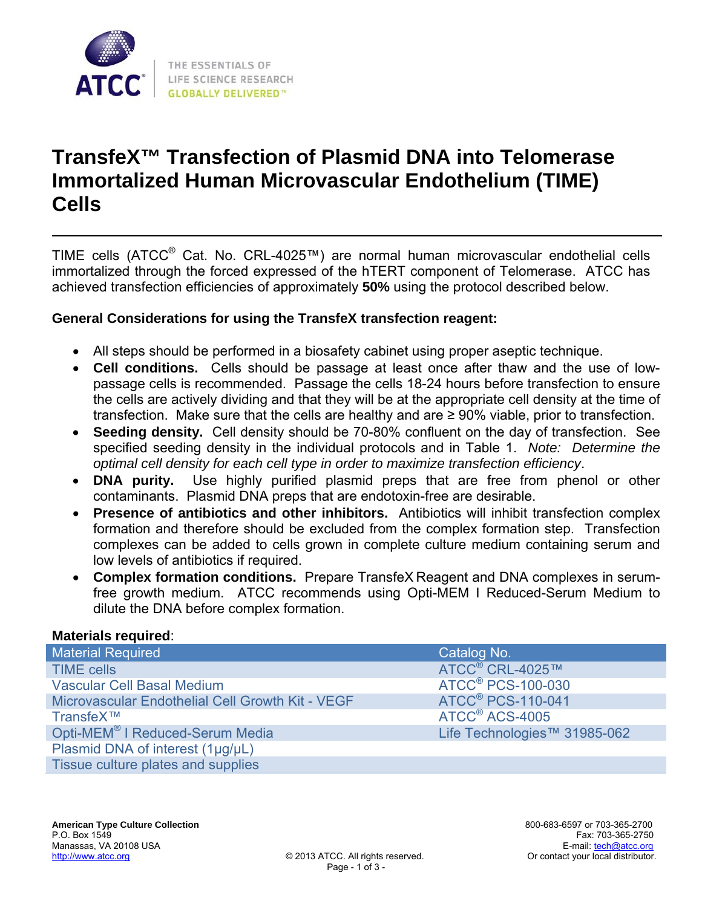

# **TransfeX™ Transfection of Plasmid DNA into Telomerase Immortalized Human Microvascular Endothelium (TIME) Cells**

TIME cells (ATCC® Cat. No. CRL-4025™) are normal human microvascular endothelial cells immortalized through the forced expressed of the hTERT component of Telomerase. ATCC has achieved transfection efficiencies of approximately **50%** using the protocol described below.

#### **General Considerations for using the TransfeX transfection reagent:**

- All steps should be performed in a biosafety cabinet using proper aseptic technique.
- **Cell conditions.** Cells should be passage at least once after thaw and the use of lowpassage cells is recommended. Passage the cells 18-24 hours before transfection to ensure the cells are actively dividing and that they will be at the appropriate cell density at the time of transfection. Make sure that the cells are healthy and are ≥ 90% viable, prior to transfection.
- **Seeding density.** Cell density should be 70-80% confluent on the day of transfection. See specified seeding density in the individual protocols and in Table 1. *Note: Determine the optimal cell density for each cell type in order to maximize transfection efficiency*.
- **DNA purity.** Use highly purified plasmid preps that are free from phenol or other contaminants. Plasmid DNA preps that are endotoxin-free are desirable.
- **Presence of antibiotics and other inhibitors.** Antibiotics will inhibit transfection complex formation and therefore should be excluded from the complex formation step. Transfection complexes can be added to cells grown in complete culture medium containing serum and low levels of antibiotics if required.
- **Complex formation conditions.** Prepare TransfeX Reagent and DNA complexes in serumfree growth medium. ATCC recommends using Opti-MEM I Reduced-Serum Medium to dilute the DNA before complex formation.

#### **Materials required**:

| <u><b>INGLY: IGIO I VGUII VG.</b></u>            |                                     |
|--------------------------------------------------|-------------------------------------|
| <b>Material Required</b>                         | Catalog No.                         |
| <b>TIME cells</b>                                | ATCC <sup>®</sup> CRL-4025™         |
| <b>Vascular Cell Basal Medium</b>                | <b>ATCC<sup>®</sup> PCS-100-030</b> |
| Microvascular Endothelial Cell Growth Kit - VEGF | <b>ATCC<sup>®</sup> PCS-110-041</b> |
| TransfeX™                                        | ATCC <sup>®</sup> ACS-4005          |
| Opti-MEM <sup>®</sup> I Reduced-Serum Media      | Life Technologies™ 31985-062        |
| Plasmid DNA of interest (1µg/µL)                 |                                     |
| Tissue culture plates and supplies               |                                     |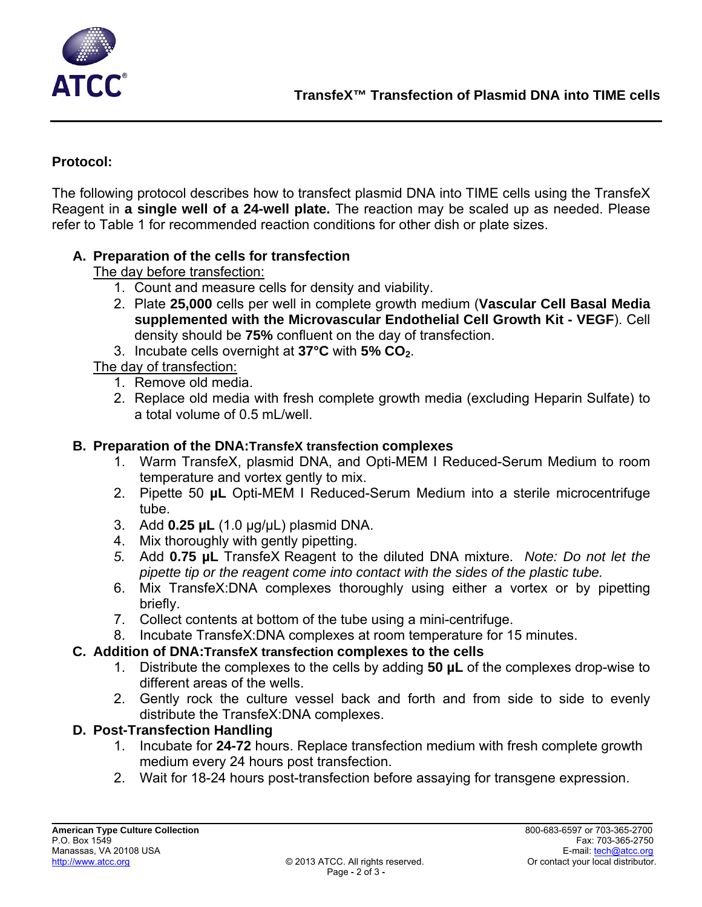

#### **Protocol:**

The following protocol describes how to transfect plasmid DNA into TIME cells using the TransfeX Reagent in **a single well of a 24-well plate.** The reaction may be scaled up as needed. Please refer to Table 1 for recommended reaction conditions for other dish or plate sizes.

#### **A. Preparation of the cells for transfection**

The day before transfection:

- 1. Count and measure cells for density and viability.
- 2. Plate **25,000** cells per well in complete growth medium (**Vascular Cell Basal Media supplemented with the Microvascular Endothelial Cell Growth Kit - VEGF**). Cell density should be **75%** confluent on the day of transfection.
- 3. Incubate cells overnight at **37°C** with **5% CO2**.

The day of transfection:

- 1. Remove old media.
- 2. Replace old media with fresh complete growth media (excluding Heparin Sulfate) to a total volume of 0.5 mL/well.

#### **B. Preparation of the DNA:TransfeX transfection complexes**

- 1. Warm TransfeX, plasmid DNA, and Opti-MEM I Reduced-Serum Medium to room temperature and vortex gently to mix.
- 2. Pipette 50 **µL** Opti-MEM I Reduced-Serum Medium into a sterile microcentrifuge tube.
- 3. Add **0.25 µL** (1.0 µg/µL) plasmid DNA.
- 4. Mix thoroughly with gently pipetting.
- *5.* Add **0.75 µL** TransfeX Reagent to the diluted DNA mixture. *Note: Do not let the pipette tip or the reagent come into contact with the sides of the plastic tube.*
- 6. Mix TransfeX:DNA complexes thoroughly using either a vortex or by pipetting briefly.
- 7. Collect contents at bottom of the tube using a mini-centrifuge.
- 8. Incubate TransfeX:DNA complexes at room temperature for 15 minutes.

## **C. Addition of DNA:TransfeX transfection complexes to the cells**

- 1. Distribute the complexes to the cells by adding **50 µL** of the complexes drop-wise to different areas of the wells.
- 2. Gently rock the culture vessel back and forth and from side to side to evenly distribute the TransfeX:DNA complexes.

## **D. Post-Transfection Handling**

- 1. Incubate for **24-72** hours. Replace transfection medium with fresh complete growth medium every 24 hours post transfection.
- 2. Wait for 18-24 hours post-transfection before assaying for transgene expression.

\_\_\_\_\_\_\_\_\_\_\_\_\_\_\_\_ \_\_\_